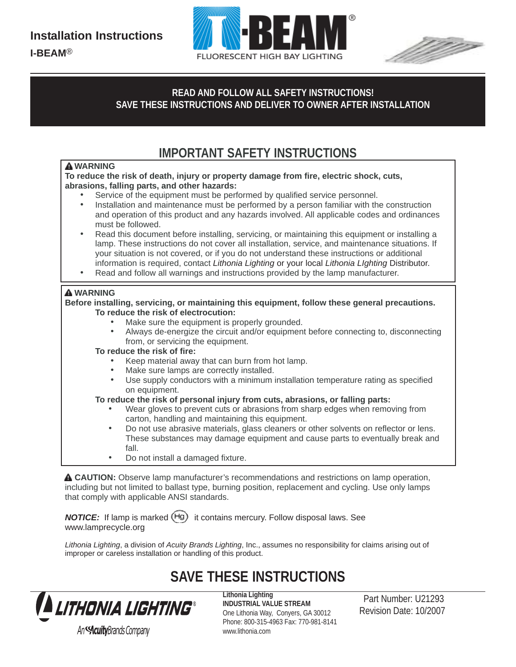



## READ AND FOLLOW ALL SAFETY INSTRUCTIONS!<br>A WE THESE INSTRUCTIONS AND DELIVER TO OWNER AFTER INSTALL ATION. SAVE THESE INSTRUCTIONS AND DELIVER TO OWNER AFTER INSTALLATION

**SAVE THESE INSTRUCTIONS AND DELIVER TO OWNER**

# **IMPORTANT SAFETY INSTRUCTIONS**

READ AND FOLLOW ALL SAFETY INSTRUCTIONS!

### **WARNING**

▲ WARNING<br>To reduce the risk of death, injury or property damage from fire, electric shock, cuts, **SAVE THESE INSTRUCTION SECULITY INSTRUCTION FETTY INSTRUCTION** FETTY INSTRUCTION FOR A FIGURE 2.1 **CONTROL** 

- Service of the equipment must be performed by qualified service personnel.
- **SAVE THESE INSTRUCTIONS AND DELIVER TO OWNER** and operation of this product and any hazards involved. All applicable codes and ordinances • Installation and maintenance must be performed by a person familiar with the construction must be followed.
- must be followed.<br>• Read this document before installing, servicing, or maintaining this equipment or installing a **SAVE THESE INSTRUCTION** IN THESE INSTALLATION IS CONSIDERED TO A THE INSTALLATION IS EQUIPMENT OF INSTALLATION IN<br>Imp. These instructions do not cover all installation, service, and maintenance situations. If your situation is not covered, or if you do not understand these instructions or additional information is required, contact *Lithonia Lighting* or your local *Lithonia LIghting* Distributor.
	- Read and follow all warnings and instructions provided by the lamp manufacturer.

#### **WARNING**

**Before installing, servicing, or maintaining this equipment, follow these general precautions. To reduce the risk of electrocution:**

- Make sure the equipment is properly grounded.
- Always de-energize the circuit and/or equipment before connecting to, disconnecting from, or servicing the equipment.
- **To reduce the risk of fire:**
	- Keep material away that can burn from hot lamp.
	- Make sure lamps are correctly installed.
	- Use supply conductors with a minimum installation temperature rating as specified on equipment.

#### **To reduce the risk of personal injury from cuts, abrasions, or falling parts:**

- Wear gloves to prevent cuts or abrasions from sharp edges when removing from carton, handling and maintaining this equipment.
- Do not use abrasive materials, glass cleaners or other solvents on reflector or lens. These substances may damage equipment and cause parts to eventually break and fall.
- Do not install a damaged fixture.

 **CAUTION:** Observe lamp manufacturer's recommendations and restrictions on lamp operation, including but not limited to ballast type, burning position, replacement and cycling. Use only lamps that comply with applicable ANSI standards.

*NOTICE:* If lamp is marked (Hg) it contains mercury. Follow disposal laws. See www.lamprecycle.org

*Lithonia Lighting*, a division of *Acuity Brands Lighting*, Inc., assumes no responsibility for claims arising out of improper or careless installation or handling of this product.

## **SAVE THESE INSTRUCTIONS**



**Lithonia Lighting INDUSTRIAL VALUE STREAM** One Lithonia Way, Conyers, GA 30012 Phone: 800-315-4963 Fax: 770-981-8141 www.lithonia.com

Part Number: U21293 Revision Date: 10/2007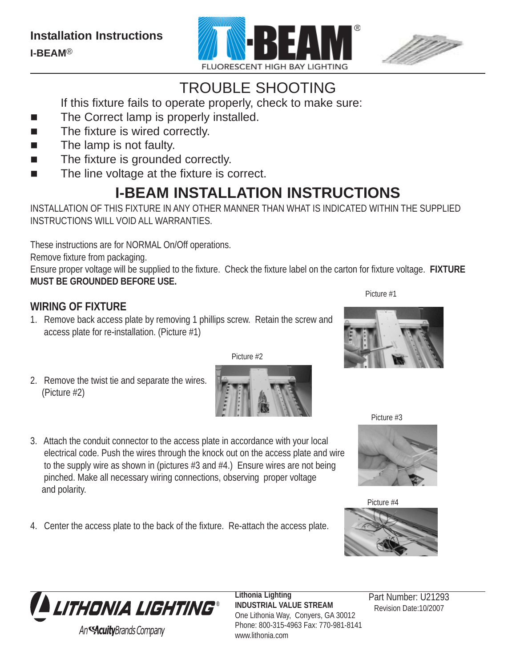



# TROUBLE SHOOTING

If this fixture fails to operate properly, check to make sure:

- The Correct lamp is properly installed.
- The fixture is wired correctly.
- $\blacksquare$  The lamp is not faulty.
- The fixture is grounded correctly.
- The line voltage at the fixture is correct.

# **I-BEAM INSTALLATION INSTRUCTIONS**

INSTALLATION OF THIS FIXTURE IN ANY OTHER MANNER THAN WHAT IS INDICATED WITHIN THE SUPPLIED INSTRUCTIONS WILL VOID ALL WARRANTIES.

These instructions are for NORMAL On/Off operations.

Remove fixture from packaging.

Ensure proper voltage will be supplied to the fixture. Check the fixture label on the carton for fixture voltage. **FIXTURE MUST BE GROUNDED BEFORE USE.**

### Picture #1 **WIRING OF FIXTURE**

- 1. Remove back access plate by removing 1 phillips screw. Retain the screw and access plate for re-installation. (Picture #1)
- 2. Remove the twist tie and separate the wires. (Picture #2)

Picture #2

- 3. Attach the conduit connector to the access plate in accordance with your local electrical code. Push the wires through the knock out on the access plate and wire to the supply wire as shown in (pictures #3 and #4.) Ensure wires are not being pinched. Make all necessary wiring connections, observing proper voltage and polarity.
- 4. Center the access plate to the back of the fixture. Re-attach the access plate.







Picture #4





**Lithonia Lighting INDUSTRIAL VALUE STREAM** One Lithonia Way, Conyers, GA 30012 Phone: 800-315-4963 Fax: 770-981-8141 www.lithonia.com

 Revision Date:10/2007 Part Number: U21293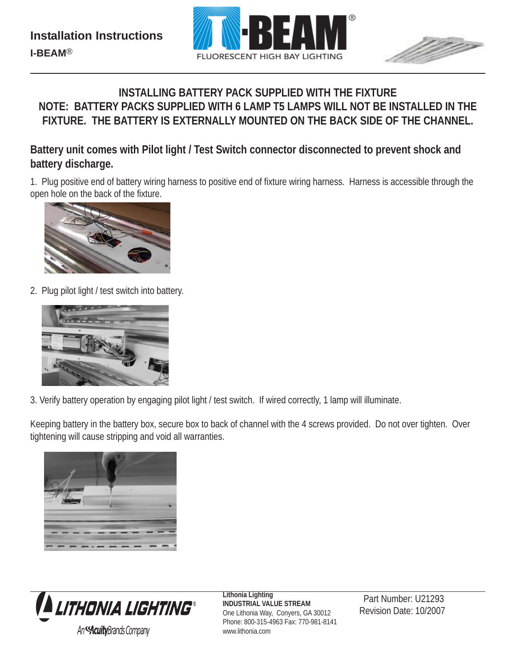



## **INSTALLING BATTERY PACK SUPPLIED WITH THE FIXTURE NOTE: BATTERY PACKS SUPPLIED WITH 6 LAMP T5 LAMPS WILL NOT BE INSTALLED IN THE FIXTURE. THE BATTERY IS EXTERNALLY MOUNTED ON THE BACK SIDE OF THE CHANNEL.**

### **Battery unit comes with Pilot light / Test Switch connector disconnected to prevent shock and battery discharge.**

1. Plug positive end of battery wiring harness to positive end of fixture wiring harness. Harness is accessible through the open hole on the back of the fixture.



2. Plug pilot light / test switch into battery.



3. Verify battery operation by engaging pilot light / test switch. If wired correctly, 1 lamp will illuminate.

Keeping battery in the battery box, secure box to back of channel with the 4 screws provided. Do not over tighten. Over tightening will cause stripping and void all warranties.





**Lithonia Lighting INDUSTRIAL VALUE STREAM** One Lithonia Way, Conyers, GA 30012 Phone: 800-315-4963 Fax: 770-981-8141 www.lithonia.com

Part Number: U21293 Revision Date: 10/2007